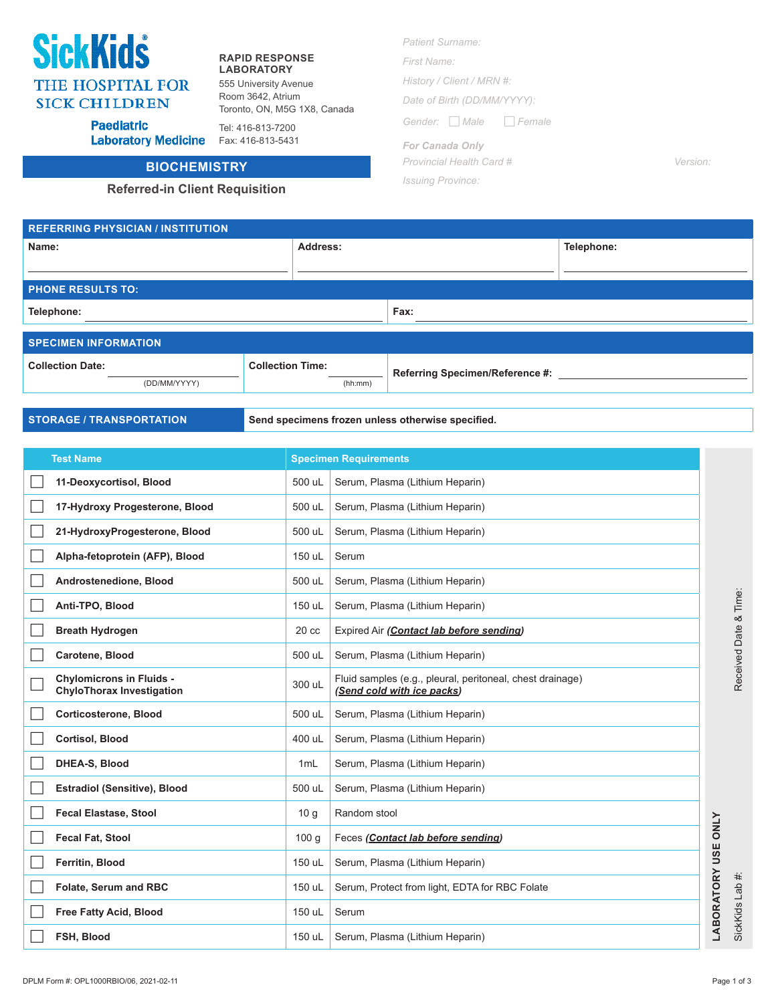# **SickKids** THE HOSPITAL FOR **SICK CHILDREN**

### **RAPID RESPONSE LABORATORY**

Tel: 416-813-7200

555 University Avenue Room 3642, Atrium Toronto, ON, M5G 1X8, Canada

**Paediatric** Laboratory Medicine Fax: 416-813-5431

## **BIOCHEMISTRY**

### **Referred-in Client Requisition**

*First Name: History / Client / MRN #: Date of Birth (DD/MM/YYYY): Gender: Male Female*

> *For Canada Only Provincial Health Card # Version:*

*Issuing Province:*

| <b>REFERRING PHYSICIAN / INSTITUTION</b> |                         |         |                                 |            |  |  |  |
|------------------------------------------|-------------------------|---------|---------------------------------|------------|--|--|--|
| Name:                                    | Address:                |         |                                 | Telephone: |  |  |  |
|                                          |                         |         |                                 |            |  |  |  |
| <b>PHONE RESULTS TO:</b>                 |                         |         |                                 |            |  |  |  |
| Telephone:                               |                         |         | Fax:                            |            |  |  |  |
|                                          |                         |         |                                 |            |  |  |  |
| <b>SPECIMEN INFORMATION</b>              |                         |         |                                 |            |  |  |  |
| <b>Collection Date:</b>                  | <b>Collection Time:</b> |         | Referring Specimen/Reference #: |            |  |  |  |
| (DD/MM/YYYY)                             |                         | (hh:mm) |                                 |            |  |  |  |

**STORAGE / TRANSPORTATION Send specimens frozen unless otherwise specified.** 

| <b>Test Name</b>                                                    | <b>Specimen Requirements</b> |                                                                                         |                      |
|---------------------------------------------------------------------|------------------------------|-----------------------------------------------------------------------------------------|----------------------|
| 11-Deoxycortisol, Blood                                             | 500 uL                       | Serum, Plasma (Lithium Heparin)                                                         |                      |
| 17-Hydroxy Progesterone, Blood                                      | 500 uL                       | Serum, Plasma (Lithium Heparin)                                                         |                      |
| 21-HydroxyProgesterone, Blood                                       | 500 uL                       | Serum, Plasma (Lithium Heparin)                                                         |                      |
| Alpha-fetoprotein (AFP), Blood                                      | 150 uL                       | Serum                                                                                   |                      |
| Androstenedione, Blood                                              | 500 uL                       | Serum, Plasma (Lithium Heparin)                                                         |                      |
| Anti-TPO, Blood                                                     | 150 uL                       | Serum, Plasma (Lithium Heparin)                                                         |                      |
| <b>Breath Hydrogen</b>                                              | 20 <sub>cc</sub>             | Expired Air (Contact lab before sending)                                                |                      |
| Carotene, Blood                                                     | 500 uL                       | Serum, Plasma (Lithium Heparin)                                                         |                      |
| <b>Chylomicrons in Fluids -</b><br><b>ChyloThorax Investigation</b> | 300 uL                       | Fluid samples (e.g., pleural, peritoneal, chest drainage)<br>(Send cold with ice packs) |                      |
| Corticosterone, Blood                                               | 500 uL                       | Serum, Plasma (Lithium Heparin)                                                         |                      |
| <b>Cortisol, Blood</b>                                              | 400 uL                       | Serum, Plasma (Lithium Heparin)                                                         |                      |
| DHEA-S, Blood                                                       | 1mL                          | Serum, Plasma (Lithium Heparin)                                                         |                      |
| <b>Estradiol (Sensitive), Blood</b>                                 | 500 uL                       | Serum, Plasma (Lithium Heparin)                                                         |                      |
| <b>Fecal Elastase, Stool</b>                                        | 10 <sub>q</sub>              | Random stool                                                                            |                      |
| <b>Fecal Fat, Stool</b>                                             | 100 <sub>g</sub>             | Feces (Contact lab before sending)                                                      | <b>ONLY</b><br>ш     |
| Ferritin, Blood                                                     | 150 uL                       | Serum, Plasma (Lithium Heparin)                                                         |                      |
| Folate, Serum and RBC                                               | 150 uL                       | Serum, Protect from light, EDTA for RBC Folate                                          |                      |
| <b>Free Fatty Acid, Blood</b>                                       | 150 uL                       | Serum                                                                                   | <b>LABORATORY US</b> |
| FSH, Blood                                                          | 150 uL                       | Serum, Plasma (Lithium Heparin)                                                         |                      |

SickKids Lab #: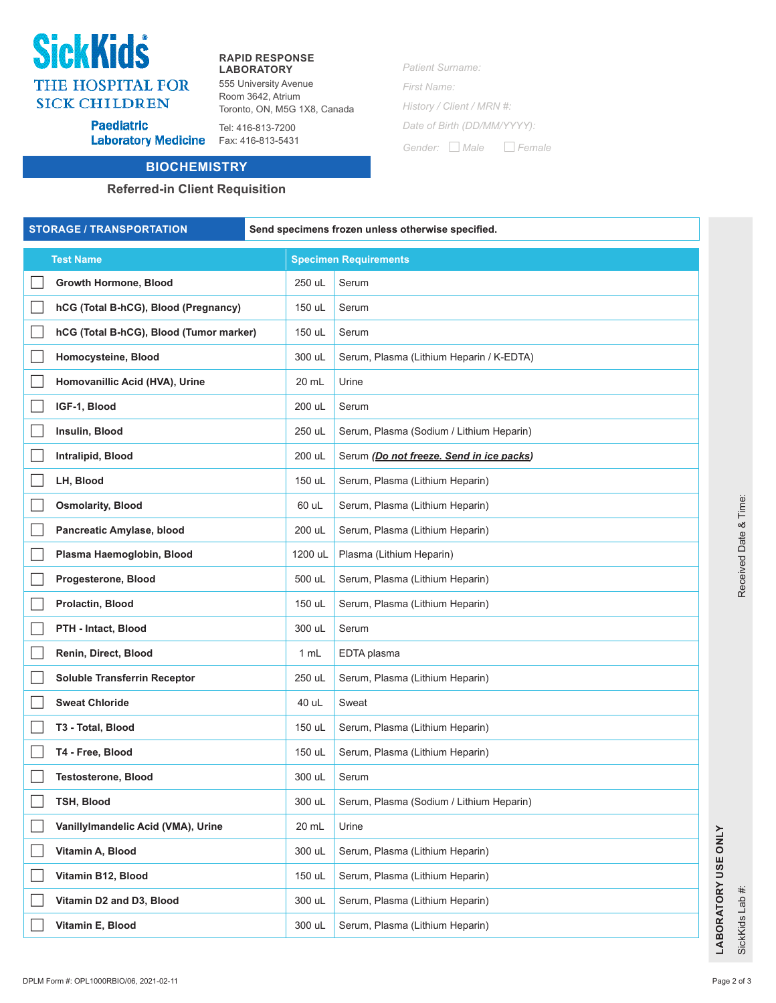# SickKidś **THE HOSPITAL FOR SICK CHILDREN**

**Paediatric** 

#### **RAPID RESPONSE LABORATORY**

555 University Avenue Room 3642, Atrium Toronto, ON, M5G 1X8, Canada *Patient Surname: First Name:*

*History / Client / MRN #: Date of Birth (DD/MM/YYYY): Gender: Male Female*

Tel: 416-813-7200 Laboratory Medicine Fax: 416-813-5431

## **BIOCHEMISTRY**

### **Referred-in Client Requisition**

**Test Name Specimen Requirements Growth Hormone, Blood** 250 uL Serum **hCG (Total B-hCG), Blood (Pregnancy)** 150 uL Serum **hCG (Total B-hCG), Blood (Tumor marker)** 150 uL Serum **Homocysteine, Blood** 300 uL Serum, Plasma (Lithium Heparin / K-EDTA) **Homovanillic Acid (HVA), Urine** 20 mL Urine **IGF-1, Blood** 200 uL Serum **Insulin, Blood** 250 uL Serum, Plasma (Sodium / Lithium Heparin) **Intralipid, Blood** 200 uL Serum *(Do not freeze. Send in ice packs)* **LH, Blood** 150 uL Serum, Plasma (Lithium Heparin) **Osmolarity, Blood Community, Blood Community, Blood 60 uL** Serum, Plasma (Lithium Heparin) **Pancreatic Amylase, blood** 200 uL Serum, Plasma (Lithium Heparin) **Plasma Haemoglobin, Blood** 1200 uL Plasma (Lithium Heparin) **Progesterone, Blood Example 2018 Progesterone, Blood Example 2018 500 uL** Serum, Plasma (Lithium Heparin) **Prolactin, Blood** 150 uL Serum, Plasma (Lithium Heparin) **PTH - Intact, Blood** 300 uL Serum **Renin, Direct, Blood** 1 mL EDTA plasma **Soluble Transferrin Receptor** 250 uL Serum, Plasma (Lithium Heparin) **Sweat Chloride 1988 1998 1999 1999 1999 10 40 uL** Sweat **T3 - Total, Blood** 150 uL Serum, Plasma (Lithium Heparin) **T4 - Free, Blood T4 - Free, Blood 150 uL Serum, Plasma (Lithium Heparin) Testosterone, Blood** 300 uL Serum **TSH, Blood 300 uL Serum, Plasma (Sodium / Lithium Heparin)** 300 uL Serum, Plasma (Sodium / Lithium Heparin) **Vanillylmandelic Acid (VMA), Urine** 20 mL Urine **Vitamin A, Blood 200 uL Serum, Plasma (Lithium Heparin) Vitamin B12, Blood** 150 uL Serum, Plasma (Lithium Heparin) **Vitamin D2 and D3, Blood** 300 uL Serum, Plasma (Lithium Heparin) **Vitamin E, Blood 300 uL Serum, Plasma (Lithium Heparin)** 300 uL Serum, Plasma (Lithium Heparin) **STORAGE / TRANSPORTATION Send specimens frozen unless otherwise specified.**